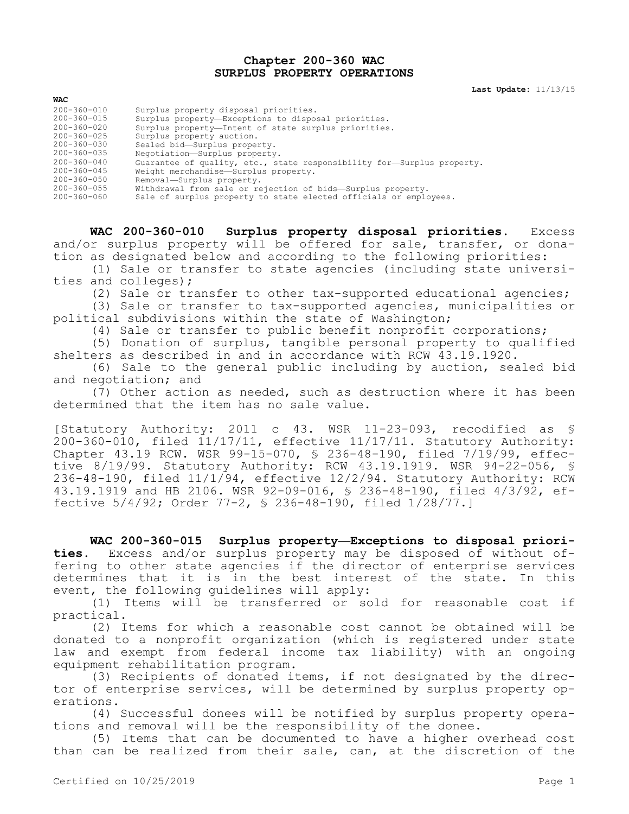## **Chapter 200-360 WAC SURPLUS PROPERTY OPERATIONS**

**Last Update:** 11/13/15

| WAC               |                                                                        |
|-------------------|------------------------------------------------------------------------|
| 200-360-010       | Surplus property disposal priorities.                                  |
| $200 - 360 - 015$ | Surplus property-Exceptions to disposal priorities.                    |
| $200 - 360 - 020$ | Surplus property-Intent of state surplus priorities.                   |
| $200 - 360 - 025$ | Surplus property auction.                                              |
| 200-360-030       | Sealed bid-Surplus property.                                           |
| 200-360-035       | Negotiation-Surplus property.                                          |
| $200 - 360 - 040$ | Guarantee of quality, etc., state responsibility for-Surplus property. |
| $200 - 360 - 045$ | Weight merchandise-Surplus property.                                   |
| $200 - 360 - 050$ | Removal-Surplus property.                                              |
| 200-360-055       | Withdrawal from sale or rejection of bids-Surplus property.            |
| 200-360-060       | Sale of surplus property to state elected officials or employees.      |

**WAC 200-360-010 Surplus property disposal priorities.** Excess and/or surplus property will be offered for sale, transfer, or donation as designated below and according to the following priorities:

(1) Sale or transfer to state agencies (including state universities and colleges);

(2) Sale or transfer to other tax-supported educational agencies;

(3) Sale or transfer to tax-supported agencies, municipalities or political subdivisions within the state of Washington;

(4) Sale or transfer to public benefit nonprofit corporations;

(5) Donation of surplus, tangible personal property to qualified shelters as described in and in accordance with RCW 43.19.1920.

(6) Sale to the general public including by auction, sealed bid and negotiation; and

(7) Other action as needed, such as destruction where it has been determined that the item has no sale value.

[Statutory Authority: 2011 c 43. WSR 11-23-093, recodified as §  $200-360-010$ , filed  $11/17/11$ , effective  $11/17/11$ . Statutory Authority: Chapter 43.19 RCW. WSR 99-15-070, § 236-48-190, filed 7/19/99, effective 8/19/99. Statutory Authority: RCW 43.19.1919. WSR 94-22-056, § 236-48-190, filed 11/1/94, effective 12/2/94. Statutory Authority: RCW 43.19.1919 and HB 2106. WSR 92-09-016, § 236-48-190, filed 4/3/92, effective 5/4/92; Order 77-2, § 236-48-190, filed 1/28/77.]

**WAC 200-360-015 Surplus property—Exceptions to disposal priorities.** Excess and/or surplus property may be disposed of without offering to other state agencies if the director of enterprise services determines that it is in the best interest of the state. In this event, the following guidelines will apply:

(1) Items will be transferred or sold for reasonable cost if practical.

(2) Items for which a reasonable cost cannot be obtained will be donated to a nonprofit organization (which is registered under state law and exempt from federal income tax liability) with an ongoing equipment rehabilitation program.

(3) Recipients of donated items, if not designated by the director of enterprise services, will be determined by surplus property operations.

(4) Successful donees will be notified by surplus property operations and removal will be the responsibility of the donee.

(5) Items that can be documented to have a higher overhead cost than can be realized from their sale, can, at the discretion of the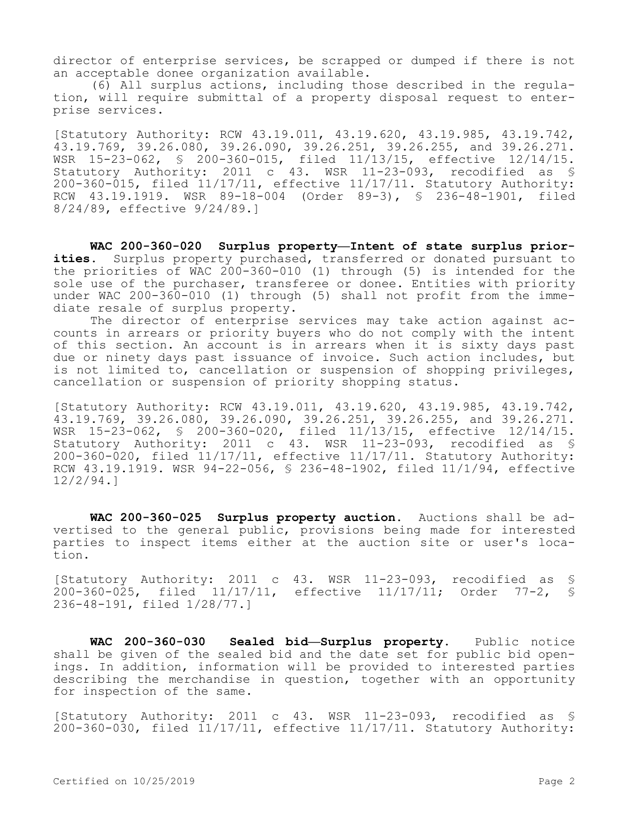director of enterprise services, be scrapped or dumped if there is not an acceptable donee organization available.

(6) All surplus actions, including those described in the regulation, will require submittal of a property disposal request to enterprise services.

[Statutory Authority: RCW 43.19.011, 43.19.620, 43.19.985, 43.19.742, 43.19.769, 39.26.080, 39.26.090, 39.26.251, 39.26.255, and 39.26.271. WSR 15-23-062, § 200-360-015, filed 11/13/15, effective 12/14/15. Statutory Authority: 2011 c 43. WSR 11-23-093, recodified as § 200-360-015, filed 11/17/11, effective 11/17/11. Statutory Authority: RCW 43.19.1919. WSR 89-18-004 (Order 89-3), § 236-48-1901, filed 8/24/89, effective 9/24/89.]

**WAC 200-360-020 Surplus property—Intent of state surplus priorities.** Surplus property purchased, transferred or donated pursuant to the priorities of WAC 200-360-010 (1) through (5) is intended for the sole use of the purchaser, transferee or donee. Entities with priority under WAC 200-360-010 (1) through (5) shall not profit from the immediate resale of surplus property.

The director of enterprise services may take action against accounts in arrears or priority buyers who do not comply with the intent of this section. An account is in arrears when it is sixty days past due or ninety days past issuance of invoice. Such action includes, but is not limited to, cancellation or suspension of shopping privileges, cancellation or suspension of priority shopping status.

[Statutory Authority: RCW 43.19.011, 43.19.620, 43.19.985, 43.19.742, 43.19.769, 39.26.080, 39.26.090, 39.26.251, 39.26.255, and 39.26.271. WSR 15-23-062, § 200-360-020, filed 11/13/15, effective 12/14/15. Statutory Authority: 2011 c 43. WSR 11-23-093, recodified as § 200-360-020, filed 11/17/11, effective 11/17/11. Statutory Authority: RCW 43.19.1919. WSR 94-22-056, § 236-48-1902, filed 11/1/94, effective 12/2/94.]

**WAC 200-360-025 Surplus property auction.** Auctions shall be advertised to the general public, provisions being made for interested parties to inspect items either at the auction site or user's location.

[Statutory Authority: 2011 c 43. WSR 11-23-093, recodified as § 200-360-025, filed 11/17/11, effective 11/17/11; Order 77-2, § 236-48-191, filed 1/28/77.]

**WAC 200-360-030 Sealed bid—Surplus property.** Public notice shall be given of the sealed bid and the date set for public bid openings. In addition, information will be provided to interested parties describing the merchandise in question, together with an opportunity for inspection of the same.

[Statutory Authority: 2011 c 43. WSR 11-23-093, recodified as § 200-360-030, filed 11/17/11, effective 11/17/11. Statutory Authority: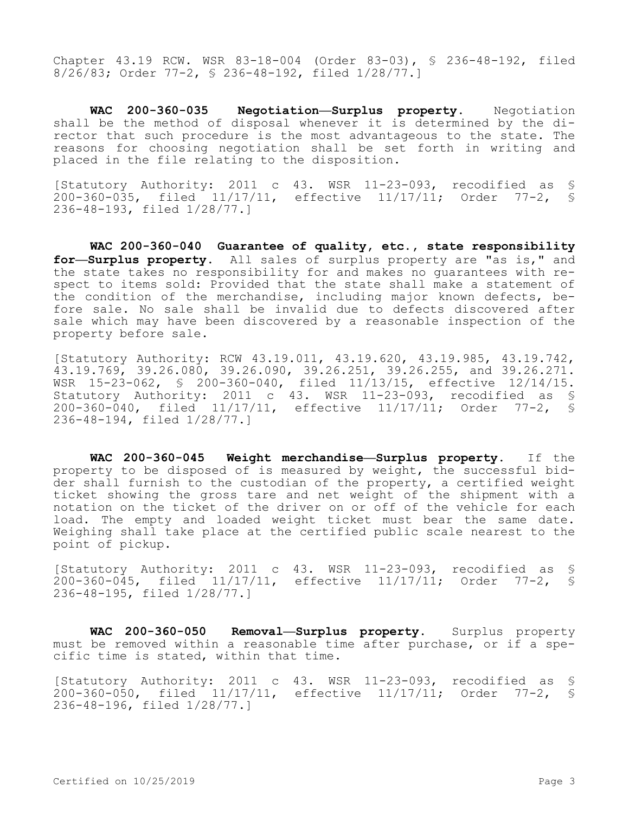Chapter 43.19 RCW. WSR 83-18-004 (Order 83-03), § 236-48-192, filed 8/26/83; Order 77-2, § 236-48-192, filed 1/28/77.]

**WAC 200-360-035 Negotiation—Surplus property.** Negotiation shall be the method of disposal whenever it is determined by the director that such procedure is the most advantageous to the state. The reasons for choosing negotiation shall be set forth in writing and placed in the file relating to the disposition.

[Statutory Authority: 2011 c 43. WSR 11-23-093, recodified as § 200-360-035, filed 11/17/11, effective 11/17/11; Order 77-2, § 236-48-193, filed 1/28/77.]

**WAC 200-360-040 Guarantee of quality, etc., state responsibility for—Surplus property.** All sales of surplus property are "as is," and the state takes no responsibility for and makes no guarantees with respect to items sold: Provided that the state shall make a statement of the condition of the merchandise, including major known defects, before sale. No sale shall be invalid due to defects discovered after sale which may have been discovered by a reasonable inspection of the property before sale.

[Statutory Authority: RCW 43.19.011, 43.19.620, 43.19.985, 43.19.742, 43.19.769, 39.26.080, 39.26.090, 39.26.251, 39.26.255, and 39.26.271. WSR 15-23-062, § 200-360-040, filed 11/13/15, effective 12/14/15. Statutory Authority: 2011 c 43. WSR 11-23-093, recodified as § 200-360-040, filed 11/17/11, effective 11/17/11; Order 77-2, § 236-48-194, filed 1/28/77.]

**WAC 200-360-045 Weight merchandise—Surplus property.** If the property to be disposed of is measured by weight, the successful bidder shall furnish to the custodian of the property, a certified weight ticket showing the gross tare and net weight of the shipment with a notation on the ticket of the driver on or off of the vehicle for each load. The empty and loaded weight ticket must bear the same date. Weighing shall take place at the certified public scale nearest to the point of pickup.

[Statutory Authority: 2011 c 43. WSR 11-23-093, recodified as §<br>200-360-045, filed 11/17/11, effective 11/17/11; Order 77-2, § 200-360-045, filed 11/17/11, effective 11/17/11; Order 77-2, § 236-48-195, filed 1/28/77.]

**WAC 200-360-050 Removal—Surplus property.** Surplus property must be removed within a reasonable time after purchase, or if a specific time is stated, within that time.

[Statutory Authority: 2011 c 43. WSR 11-23-093, recodified as § 200-360-050, filed 11/17/11, effective 11/17/11; Order 77-2, § 236-48-196, filed 1/28/77.]